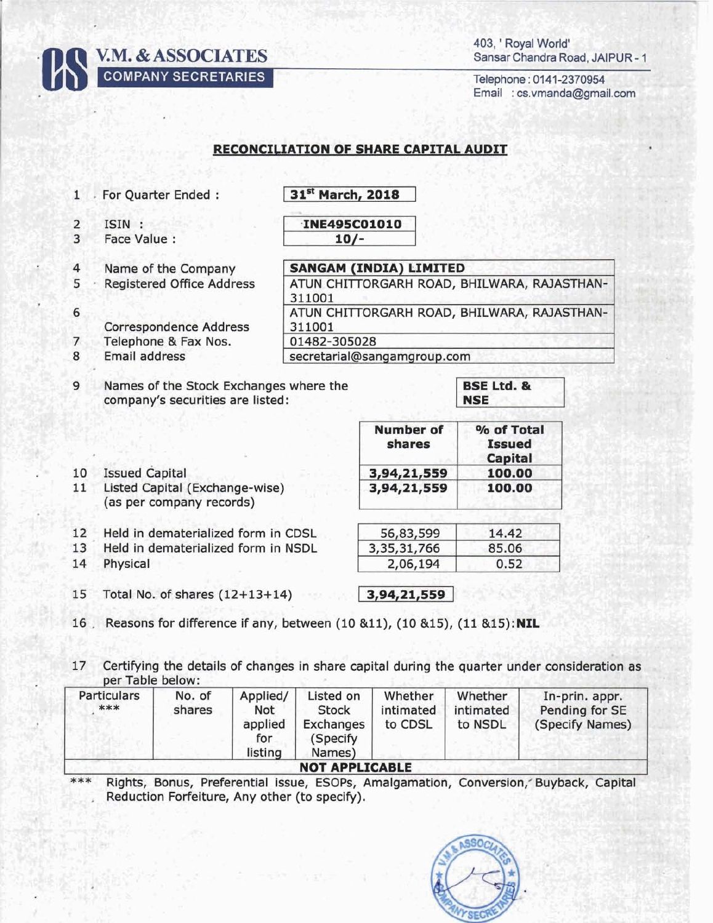**V.M. & ASSOCIATES COMPANY SECRETARIES** 

403, ' Royal World' Sansar Chandra Road, JAIPUR - 1

Telephone: 0141-2370954 Email : cs.vmanda@gmail.com

## **RECONCILIATION OF SHARE CAPITAL AUDIT**

| <b>INE495C01010</b><br>ISIN:<br>$\overline{2}$<br>$\overline{3}$<br>Face Value :<br>$10/-$<br><b>SANGAM (INDIA) LIMITED</b><br>$\overline{4}$<br>Name of the Company<br>5<br><b>Registered Office Address</b><br>311001<br>6<br><b>Correspondence Address</b><br>311001<br>Telephone & Fax Nos.<br>01482-305028<br>7<br>Email address<br>8<br>secretarial@sangamgroup.com<br><b>BSE Ltd. &amp;</b><br>9<br>Names of the Stock Exchanges where the<br>company's securities are listed:<br><b>NSE</b><br><b>Number of</b><br>% of Total<br>shares<br><b>Issued</b><br>Capital<br>10<br><b>Issued Capital</b><br>100.00<br>3,94,21,559 |                                             |  |  |  |  |  |
|-------------------------------------------------------------------------------------------------------------------------------------------------------------------------------------------------------------------------------------------------------------------------------------------------------------------------------------------------------------------------------------------------------------------------------------------------------------------------------------------------------------------------------------------------------------------------------------------------------------------------------------|---------------------------------------------|--|--|--|--|--|
|                                                                                                                                                                                                                                                                                                                                                                                                                                                                                                                                                                                                                                     |                                             |  |  |  |  |  |
|                                                                                                                                                                                                                                                                                                                                                                                                                                                                                                                                                                                                                                     | ATUN CHITTORGARH ROAD, BHILWARA, RAJASTHAN- |  |  |  |  |  |
|                                                                                                                                                                                                                                                                                                                                                                                                                                                                                                                                                                                                                                     |                                             |  |  |  |  |  |
|                                                                                                                                                                                                                                                                                                                                                                                                                                                                                                                                                                                                                                     | ATUN CHITTORGARH ROAD, BHILWARA, RAJASTHAN- |  |  |  |  |  |
|                                                                                                                                                                                                                                                                                                                                                                                                                                                                                                                                                                                                                                     |                                             |  |  |  |  |  |
|                                                                                                                                                                                                                                                                                                                                                                                                                                                                                                                                                                                                                                     |                                             |  |  |  |  |  |
|                                                                                                                                                                                                                                                                                                                                                                                                                                                                                                                                                                                                                                     |                                             |  |  |  |  |  |
|                                                                                                                                                                                                                                                                                                                                                                                                                                                                                                                                                                                                                                     |                                             |  |  |  |  |  |
| 11<br>Listed Capital (Exchange-wise)<br>3,94,21,559<br>100.00<br>(as per company records)                                                                                                                                                                                                                                                                                                                                                                                                                                                                                                                                           |                                             |  |  |  |  |  |
| 12<br>Held in dematerialized form in CDSL<br>14.42<br>56,83,599                                                                                                                                                                                                                                                                                                                                                                                                                                                                                                                                                                     |                                             |  |  |  |  |  |
| 3,35,31,766<br>13<br>Held in dematerialized form in NSDL<br>85.06                                                                                                                                                                                                                                                                                                                                                                                                                                                                                                                                                                   |                                             |  |  |  |  |  |
| 14<br>Physical<br>2,06,194<br>0.52                                                                                                                                                                                                                                                                                                                                                                                                                                                                                                                                                                                                  |                                             |  |  |  |  |  |
| 15<br>Total No. of shares $(12+13+14)$<br>3,94,21,559                                                                                                                                                                                                                                                                                                                                                                                                                                                                                                                                                                               |                                             |  |  |  |  |  |

16 Reasons for difference if any, between (10 &11), (10 &15), (11 &15):NIL

17 Certifying the details of changes in share capital during the quarter under consideration as per Table below:

| Particulars<br>*** | No. of<br>shares | Applied/<br>Not<br>applied<br>for<br>listing | Listed on<br>Stock<br>Exchanges<br>(Specify)<br>Names) | Whether<br>intimated<br>to CDSL | Whether<br>intimated<br>to NSDL | In-prin. appr.<br>Pending for SE<br>(Specify Names) |
|--------------------|------------------|----------------------------------------------|--------------------------------------------------------|---------------------------------|---------------------------------|-----------------------------------------------------|
|                    |                  |                                              | <b>NOT APPLICABLE</b>                                  |                                 |                                 |                                                     |

Rights, Bonus, Preferential issue, ESOPs, Amalgamation, Conversion, Buyback, Capital \*\*\* Reduction Forfeiture, Any other (to specify).